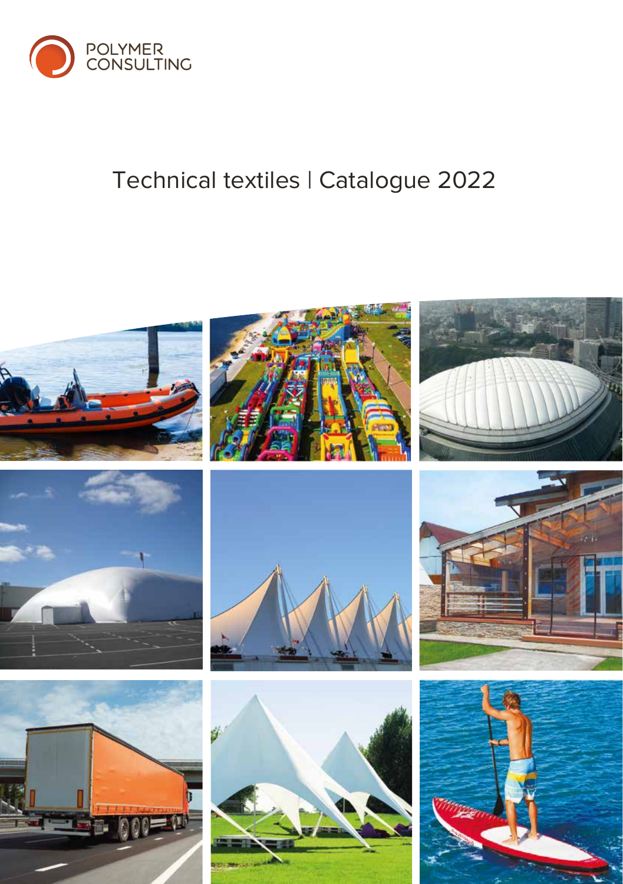

### Technical textiles | Catalogue 2022

















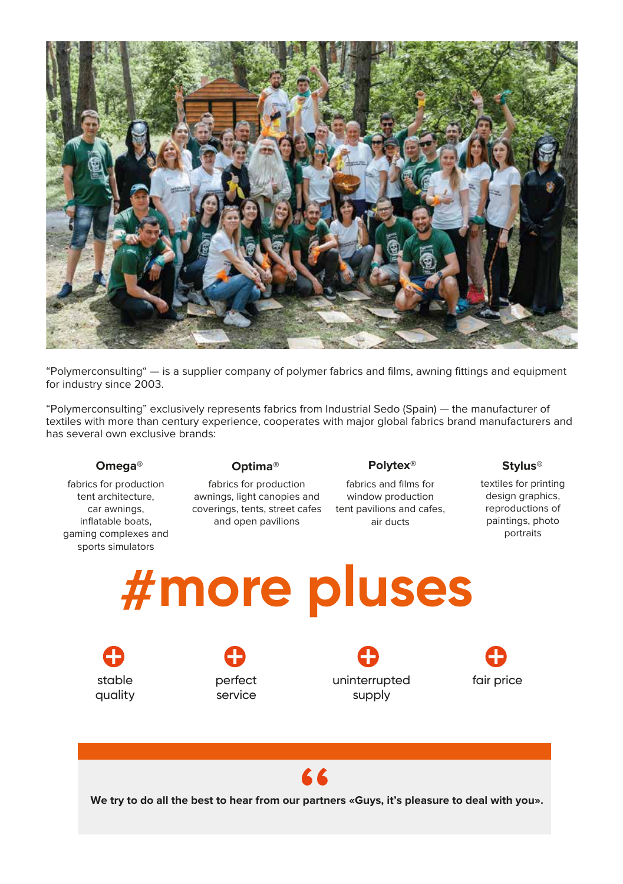

"Polymerconsulting" — is a supplier company of polymer fabrics and films, awning fittings and equipment for industry since 2003.

"Polymerconsulting" exclusively represents fabrics from Industrial Sedo (Spain) — the manufacturer of textiles with more than century experience, cooperates with major global fabrics brand manufacturers аnd has several own exclusive brands:

fabrics for production tent architecture, car awnings, inflatable boats, gaming complexes and sports simulators

**Omega® Polytex® Stylus® Optima®**

fabrics for production awnings, light canopies and coverings, tents, street cafes tent pavilions and cafes, and open pavilions

fabrics and films for window production air ducts

textiles for printing design graphics, reproductions of paintings, photo portraits

## **more pluses**

stable quality

perfect service

uninterrupted supply



# **66**<br>partn

**We try to do all the best to hear from our partners «Guys, it's pleasure to deal with you».**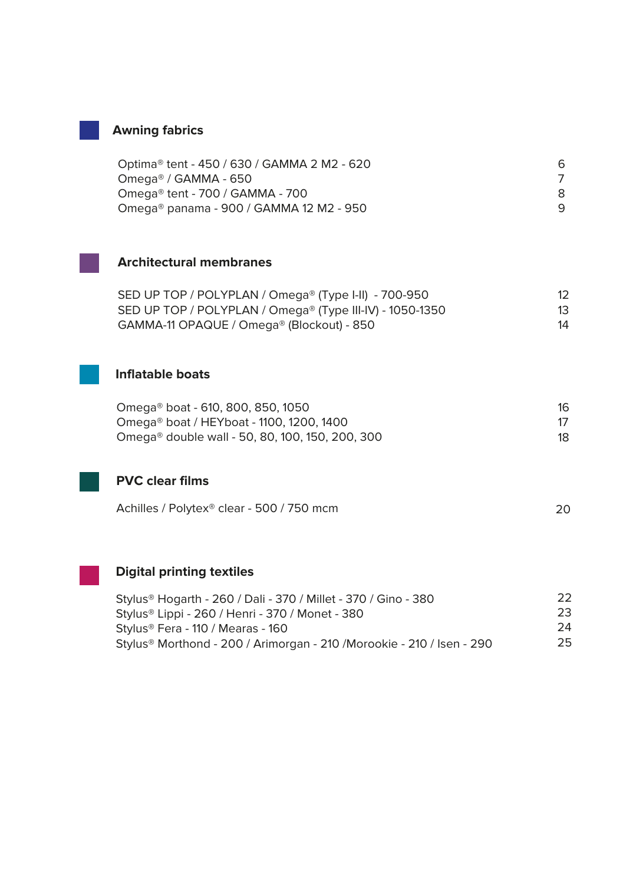#### **Awning fabrics**

| Optima® tent - 450 / 630 / GAMMA 2 M2 - 620 | 6 |
|---------------------------------------------|---|
| Omega® / GAMMA - 650                        |   |
| Omega® tent - 700 / GAMMA - 700             |   |
| Omega® panama - 900 / GAMMA 12 M2 - 950     |   |



#### **Architectural membranes**

| SED UP TOP / POLYPLAN / Omega® (Type I-II) - 700-950     |    |
|----------------------------------------------------------|----|
| SED UP TOP / POLYPLAN / Omega® (Type III-IV) - 1050-1350 | 13 |
| GAMMA-11 OPAQUE / Omega® (Blockout) - 850                | 14 |

#### **Inflatable boats**

| Omega® boat - 610, 800, 850, 1050               | 16 |
|-------------------------------------------------|----|
| Omega® boat / HEYboat - 1100, 1200, 1400        |    |
| Omega® double wall - 50, 80, 100, 150, 200, 300 | 18 |



| Achilles / Polytex® clear - 500 / 750 mcm |  |
|-------------------------------------------|--|
|-------------------------------------------|--|

#### **Digital printing textiles**

| Stylus® Hogarth - 260 / Dali - 370 / Millet - 370 / Gino - 380                    | フフ |
|-----------------------------------------------------------------------------------|----|
| Stylus® Lippi - 260 / Henri - 370 / Monet - 380                                   | 23 |
| Stylus® Fera - 110 / Mearas - 160                                                 | 24 |
| Stylus <sup>®</sup> Morthond - 200 / Arimorgan - 210 /Morookie - 210 / Isen - 290 | 25 |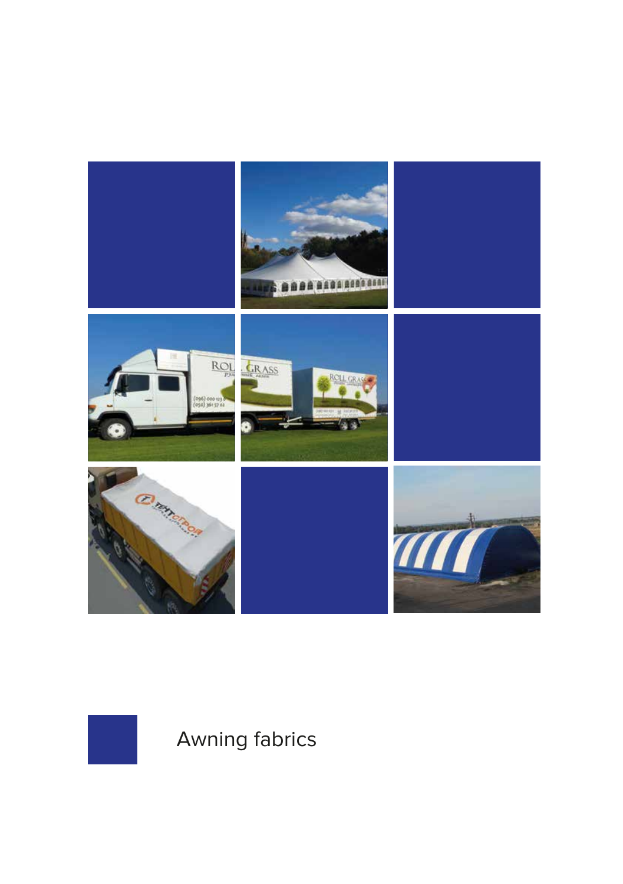



**Awning fabrics**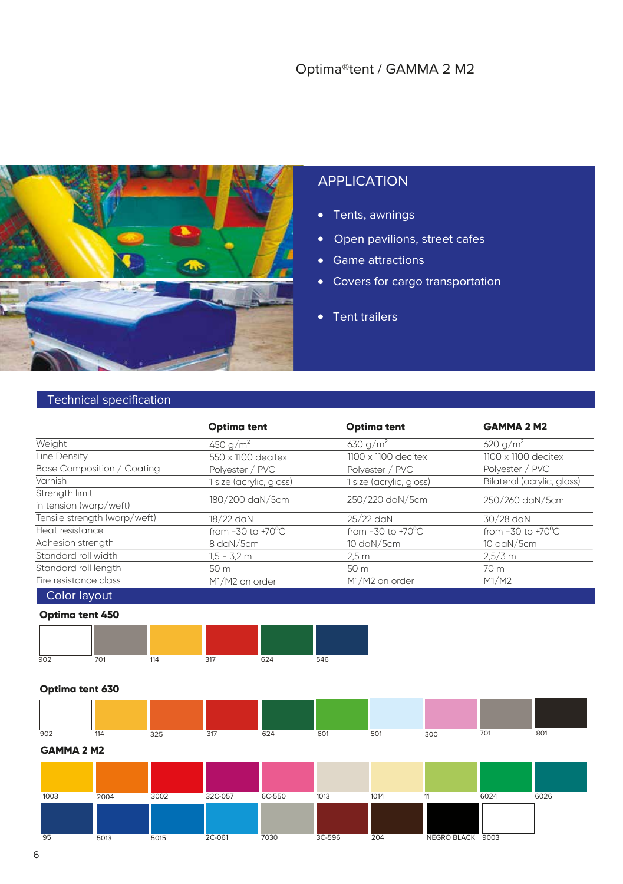#### Optima®tent / GAMMA 2 M2



#### APPLICATION

- Tents, awnings
- Open pavilions, street cafes
- Game attractions
- Covers for cargo transportation
- Tent trailers

#### Technical specification

|                                                                                                                   | <b>Optima tent</b>            | <b>Optima tent</b>            | <b>GAMMA 2 M2</b>             |  |
|-------------------------------------------------------------------------------------------------------------------|-------------------------------|-------------------------------|-------------------------------|--|
| Weight                                                                                                            | 450 g/m <sup>2</sup>          | 630 g/m <sup>2</sup>          | 620 g/m <sup>2</sup>          |  |
| Line Density                                                                                                      | 550 x 1100 decitex            | $1100 \times 1100$ decitex    | $1100 \times 1100$ decitex    |  |
| Base Composition / Coating                                                                                        | Polyester / PVC               | Polyester / PVC               | Polyester / PVC               |  |
| Varnish                                                                                                           | 1 size (acrylic, gloss)       | 1 size (acrylic, gloss)       | Bilateral (acrylic, gloss)    |  |
| Strength limit                                                                                                    |                               |                               |                               |  |
| in tension (warp/weft)                                                                                            | 180/200 daN/5cm               | 250/220 daN/5cm               | 250/260 daN/5cm               |  |
| Tensile strength (warp/weft)                                                                                      | 18/22 daN                     | 25/22 daN                     | 30/28 daN                     |  |
| Heat resistance                                                                                                   | from $-30$ to $+70^{\circ}$ C | from $-30$ to $+70^{\circ}$ C | from $-30$ to $+70^{\circ}$ C |  |
| Adhesion strength                                                                                                 | 8 daN/5cm                     | 10 daN/5cm                    | 10 daN/5cm                    |  |
| Standard roll width                                                                                               | $1.5 - 3.2$ m                 | 2.5m                          | $2,5/3$ m                     |  |
| Standard roll length                                                                                              | 50 m                          | 50 m                          | 70 m                          |  |
| Fire resistance class                                                                                             | M1/M2 on order                | M1/M2 on order                | M1/M2                         |  |
| the company's company's company's company's company's company's company's company's company's company's company's |                               |                               |                               |  |

Color layout

#### **Optima tent 450**



#### **Optima tent 630**

| 902 | 114 | 325 | 317 | 624 | 60 <sup>-</sup> | 501 | 300 | 701 | 801 |
|-----|-----|-----|-----|-----|-----------------|-----|-----|-----|-----|

**GAMMA 2 M2** 

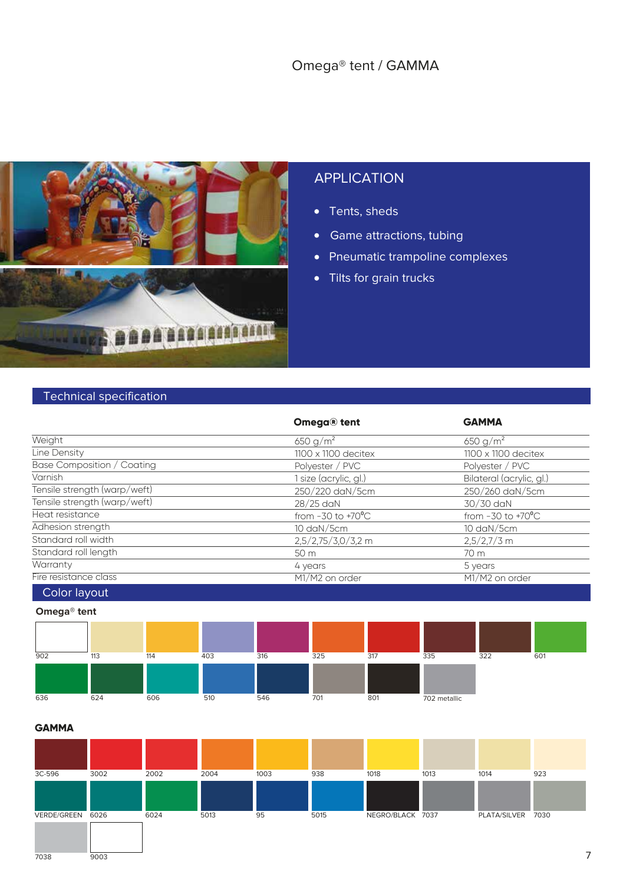#### Omega® tent / GAMMA



#### APPLICATION

- Tents, sheds
- Game attractions, tubing
- Pneumatic trampoline complexes
- Tilts for grain trucks

#### Technical specification

|                              | Omega® tent                   | <b>GAMMA</b>                  |
|------------------------------|-------------------------------|-------------------------------|
| Weight                       | 650 g/m <sup>2</sup>          | 650 $g/m^2$                   |
| Line Density                 | $1100 \times 1100$ decitex    | $1100 \times 1100$ decitex    |
| Base Composition / Coating   | Polyester / PVC               | Polyester / PVC               |
| Varnish                      | 1 size (acrylic, gl.)         | Bilateral (acrylic, gl.)      |
| Tensile strength (warp/weft) | 250/220 daN/5cm               | 250/260 daN/5cm               |
| Tensile strength (warp/weft) | 28/25 daN                     | 30/30 daN                     |
| Heat resistance              | from $-30$ to $+70^{\circ}$ C | from $-30$ to $+70^{\circ}$ C |
| Adhesion strength            | 10 daN/5cm                    | 10 daN/5cm                    |
| Standard roll width          | 2,5/2,75/3,0/3,2 m            | $2,5/2,7/3$ m                 |
| Standard roll length         | 50 m                          | 70 m                          |
| Warranty                     | 4 years                       | 5 years                       |
| Fire resistance class        | M1/M2 on order                | M1/M2 on order                |
| Color layout                 |                               |                               |

#### **Omega® tent**

| 902 | 113 | 114 | 403 | 316 | 325 | 317 | 335          | 322 | 601 |
|-----|-----|-----|-----|-----|-----|-----|--------------|-----|-----|
|     |     |     |     |     |     |     |              |     |     |
| 636 | 624 | 606 | 510 | 546 | 701 | 801 | 702 metallic |     |     |



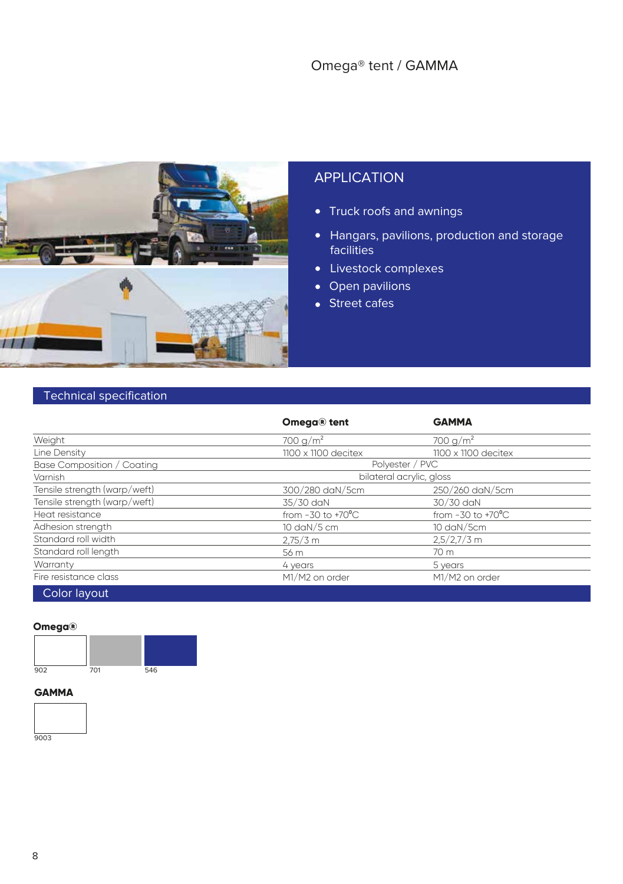#### Omega® tent / GAMMA



#### APPLICATION

- Truck roofs and awnings
- Hangars, pavilions, production and storage facilities
- Livestock complexes
- Open pavilions
- Street cafes

#### Technical specification

|                              | Omega® tent                         | <b>GAMMA</b>                  |  |  |
|------------------------------|-------------------------------------|-------------------------------|--|--|
| Weight                       | 700 g/m <sup>2</sup>                | 700 g/m <sup>2</sup>          |  |  |
| Line Density                 | $1100 \times 1100$ decitex          | $1100 \times 1100$ decitex    |  |  |
| Base Composition / Coating   |                                     | Polyester / PVC               |  |  |
| Varnish                      | bilateral acrylic, gloss            |                               |  |  |
| Tensile strength (warp/weft) | 300/280 daN/5cm                     | 250/260 daN/5cm               |  |  |
| Tensile strength (warp/weft) | 35/30 daN                           | 30/30 daN                     |  |  |
| Heat resistance              | from $-30$ to $+70^{\circ}$ C       | from $-30$ to $+70^{\circ}$ C |  |  |
| Adhesion strength            | 10 $\frac{d}{d}$ 0 $\frac{m}{5}$ cm | $10 \text{ day}/5 \text{cm}$  |  |  |
| Standard roll width          | $2,75/3$ m                          | $2,5/2,7/3$ m                 |  |  |
| Standard roll length         | 56 m                                | 70 m                          |  |  |
| Warranty                     | 4 years                             | 5 years                       |  |  |
| Fire resistance class        | M1/M2 on order                      | M1/M2 on order                |  |  |
| Color layout                 |                                     |                               |  |  |

#### **Omega®**



#### **GAMMA**

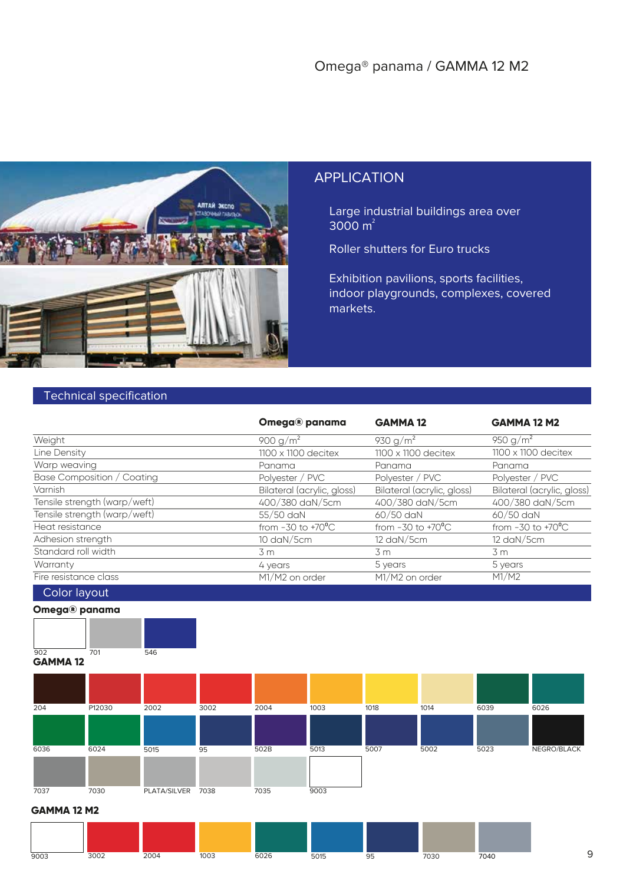

Large industrial buildings area over  $3000 \text{ m}^2$ 

Roller shutters for Euro trucks

Exhibition pavilions, sports facilities, indoor playgrounds, complexes, covered markets.

#### Technical specification

| Omega® panama                 | <b>GAMMA12</b>                | <b>GAMMA 12 M2</b>            |
|-------------------------------|-------------------------------|-------------------------------|
| 900 g/m <sup>2</sup>          | 930 $g/m^2$                   | 950 g/m <sup>2</sup>          |
| $1100 \times 1100$ decitex    | $1100 \times 1100$ decitex    | $1100 \times 1100$ decitex    |
| Panama                        | Panama                        | Panama                        |
| Polyester / PVC               | Polyester / PVC               | Polyester / PVC               |
| Bilateral (acrylic, gloss)    | Bilateral (acrylic, gloss)    | Bilateral (acrylic, gloss)    |
| 400/380 daN/5cm               | 400/380 daN/5cm               | 400/380 daN/5cm               |
| 55/50 daN                     | $60/50$ daN                   | 60/50 daN                     |
| from $-30$ to $+70^{\circ}$ C | from $-30$ to $+70^{\circ}$ C | from $-30$ to $+70^{\circ}$ C |
| 10 daN/5cm                    | 12 daN/5cm                    | 12 daN/5cm                    |
| 3m                            | 3m                            | 3m                            |
| 4 years                       | 5 years                       | 5 years                       |
| M1/M2 on order                | M1/M2 on order                | M1/M2                         |
|                               |                               |                               |

Color layout





**GAMMA 12**

 $\frac{1}{902}$ 

| 204  | P12030 | 2002         | 3002 | 2004 | 1003 | 1018 | 1014 | 6039 | 6026        |
|------|--------|--------------|------|------|------|------|------|------|-------------|
|      |        |              |      |      |      |      |      |      |             |
| 6036 | 6024   | 5015         | 95   | 502B | 5013 | 5007 | 5002 | 5023 | NEGRO/BLACK |
|      |        |              |      |      |      |      |      |      |             |
| 7037 | 7030   | PLATA/SILVER | 7038 | 7035 | 9003 |      |      |      |             |

#### **GAMMA 12 M2**

| 9003 | 2002<br><b>SUUZ</b> | 2001<br>ZUU <sup>2</sup> | 1003 | 0.000<br>60Z6 | $F \cap AF$<br>5015 | u<br>◡ | 7020<br>'U3L | 7040 |  |
|------|---------------------|--------------------------|------|---------------|---------------------|--------|--------------|------|--|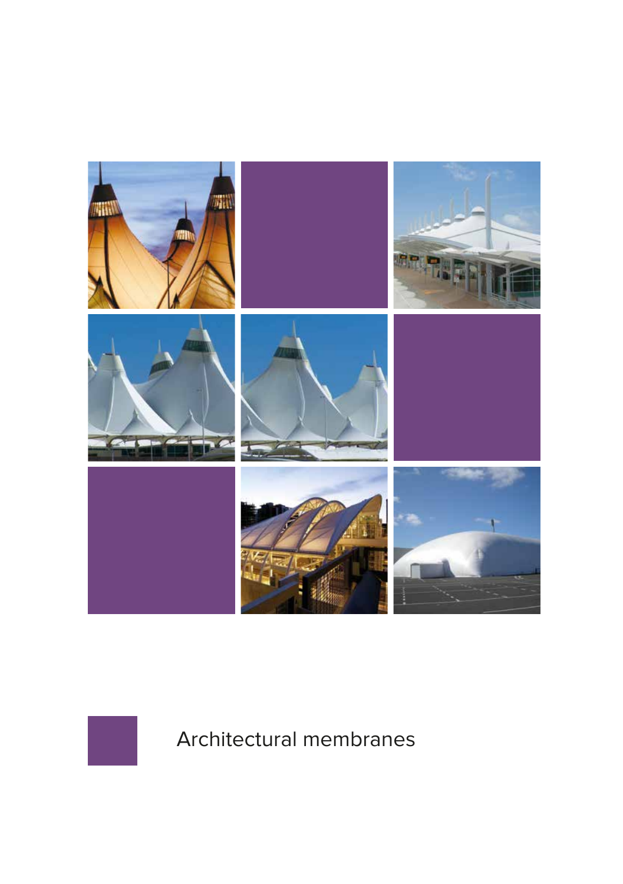



Architectural membranes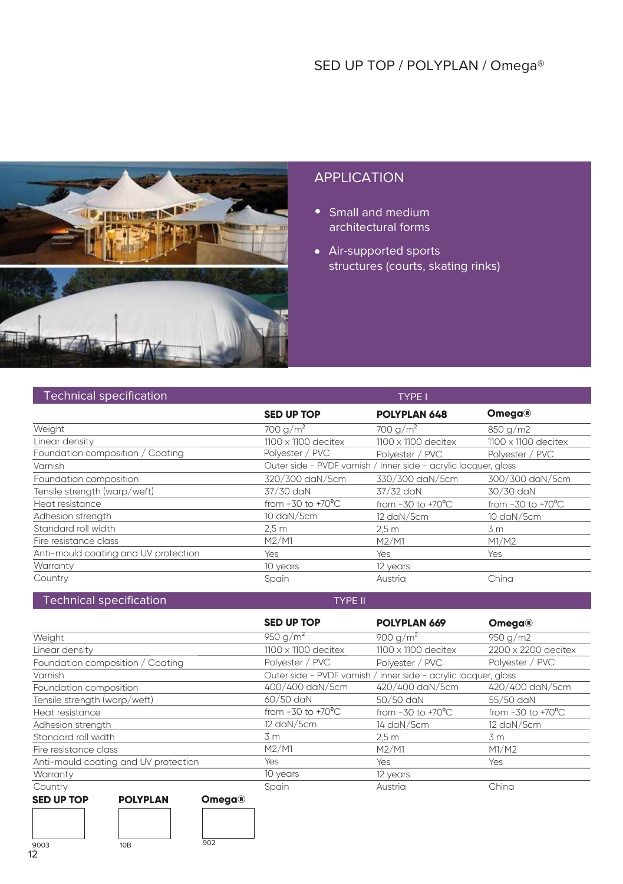

- Small and medium architectural forms
- Air-supported sports structures (courts, skating rinks)

TYPE I

#### Technical specification

|                                      | <b>SED UP TOP</b>             | <b>POLYPLAN 648</b>                                             | <b>Omega®</b>                 |
|--------------------------------------|-------------------------------|-----------------------------------------------------------------|-------------------------------|
| Weight                               | 700 g/m <sup>2</sup>          | 700 g/m <sup>2</sup>                                            | 850 g/m2                      |
| Linear density                       | $1100 \times 1100$ decitex    | $1100 \times 1100$ decitex                                      | $1100 \times 1100$ decitex    |
| Foundation composition / Coating     | Polyester / PVC               | Polvester / PVC                                                 | Polyester / PVC               |
| Varnish                              |                               | Outer side - PVDF varnish / Inner side - acrylic lacquer, gloss |                               |
| Foundation composition               | 320/300 daN/5cm               | 330/300 daN/5cm                                                 | 300/300 daN/5cm               |
| Tensile strength (warp/weft)         | 37/30 daN                     | 37/32 daN                                                       | 30/30 daN                     |
| Heat resistance                      | from $-30$ to $+70^{\circ}$ C | from $-30$ to $+70^{\circ}$ C                                   | from $-30$ to $+70^{\circ}$ C |
| Adhesion strength                    | 10 daN/5cm                    | 12 daN/5cm                                                      | 10 daN/5cm                    |
| Standard roll width                  | 2.5 <sub>m</sub>              | 2.5 m                                                           | 3 m                           |
| Fire resistance class                | M2/M1                         | M2/M1                                                           | M1/M2                         |
| Anti-mould coating and UV protection | Yes                           | Yes                                                             | Yes                           |
| Warranty                             | 10 years                      | 12 years                                                        |                               |
| Country                              | Spain                         | Austria                                                         | China                         |

#### Technical specification TYPE II

|                                                       | <b>SED UP TOP</b>             | POLYPLAN 669                                                    | <b>Omega®</b>                 |  |  |
|-------------------------------------------------------|-------------------------------|-----------------------------------------------------------------|-------------------------------|--|--|
| Weight                                                | 950 g/m <sup>2</sup>          | 900 g/m <sup>2</sup>                                            | 950 g/m2                      |  |  |
| Linear density                                        | $1100 \times 1100$ decitex    | $1100 \times 1100$ decitex                                      | 2200 x 2200 decitex           |  |  |
| Foundation composition / Coating                      | Polyester / PVC               | Polyester / PVC                                                 | Polyester / PVC               |  |  |
| Varnish                                               |                               | Outer side - PVDF varnish / Inner side - acrylic lacquer, gloss |                               |  |  |
| Foundation composition                                | 400/400 daN/5cm               | 420/400 daN/5cm                                                 | 420/400 daN/5cm               |  |  |
| Tensile strength (warp/weft)                          | $60/50$ daN                   | 50/50 daN                                                       | 55/50 daN                     |  |  |
| Heat resistance                                       | from $-30$ to $+70^{\circ}$ C | from $-30$ to $+70^{\circ}$ C                                   | from $-30$ to $+70^{\circ}$ C |  |  |
| Adhesion strength                                     | 12 daN/5cm                    | 14 daN/5cm                                                      | 12 daN/5cm                    |  |  |
| Standard roll width                                   | 3 m                           | 2.5 <sub>m</sub>                                                | 3 m                           |  |  |
| Fire resistance class                                 | M2/M1                         | M2/M1                                                           | M1/M2                         |  |  |
| Anti-mould coating and UV protection                  | Yes                           | Yes                                                             | Yes                           |  |  |
| Warranty                                              | 10 years                      | 12 years                                                        |                               |  |  |
| Country                                               | Spain                         | Austria                                                         | China                         |  |  |
| <b>SED UP TOP</b><br><b>POLYPLAN</b><br><b>Omega®</b> |                               |                                                                 |                               |  |  |

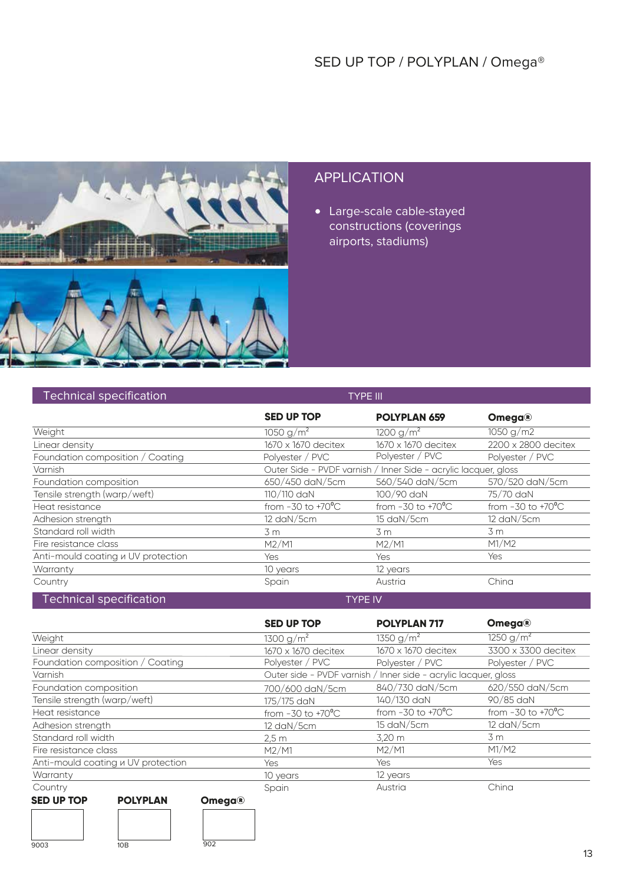

Large-scale cable-stayed constructions (coverings airports, stadiums)

| <b>Technical specification</b>     |                               | <b>TYPE III</b>                                                 |                               |
|------------------------------------|-------------------------------|-----------------------------------------------------------------|-------------------------------|
|                                    | <b>SED UP TOP</b>             | <b>POLYPLAN 659</b>                                             | <b>Omega®</b>                 |
| Weight                             | 1050 g/m <sup>2</sup>         | 1200 g/m <sup>2</sup>                                           | 1050 g/m2                     |
| Linear density                     | 1670 x 1670 decitex           | 1670 x 1670 decitex                                             | 2200 x 2800 decitex           |
| Foundation composition / Coating   | Polyester / PVC               | Polyester / PVC                                                 | Polyester / PVC               |
| Varnish                            |                               | Outer Side - PVDF varnish / Inner Side - acrylic lacquer, gloss |                               |
| Foundation composition             | 650/450 daN/5cm               | 560/540 daN/5cm                                                 | 570/520 daN/5cm               |
| Tensile strength (warp/weft)       | 110/110 daN                   | 100/90 daN                                                      | 75/70 daN                     |
| Heat resistance                    | from $-30$ to $+70^{\circ}$ C | from $-30$ to $+70^{\circ}$ C                                   | from $-30$ to $+70^{\circ}$ C |
| Adhesion strength                  | 12 daN/5cm                    | 15 daN/5cm                                                      | 12 daN/5cm                    |
| Standard roll width                | 3m                            | 3 m                                                             | 3m                            |
| Fire resistance class              | M2/M1                         | M2/M1                                                           | M1/M2                         |
| Anti-mould coating u UV protection | Yes                           | <b>Yes</b>                                                      | Yes                           |
| Warranty                           | 10 years                      | 12 years                                                        |                               |
| Country                            | Spain                         | Austria                                                         | China                         |
| <b>Technical specification</b>     |                               | <b>TYPE IV</b>                                                  |                               |

|                                                           | <b>SED UP TOP</b>             | <b>POLYPLAN 717</b>                                             | <b>Omega®</b>                 |
|-----------------------------------------------------------|-------------------------------|-----------------------------------------------------------------|-------------------------------|
| Weight                                                    | 1300 g/m <sup>2</sup>         | 1350 g/m <sup>2</sup>                                           | 1250 g/m <sup>2</sup>         |
| Linear density                                            | 1670 x 1670 decitex           | 1670 x 1670 decitex                                             | 3300 x 3300 decitex           |
| Foundation composition / Coating                          | Polyester / PVC               | Polyester / PVC                                                 | Polyester / PVC               |
| Varnish                                                   |                               | Outer side - PVDF varnish / Inner side - acrylic lacquer, gloss |                               |
| Foundation composition                                    | 700/600 daN/5cm               | 840/730 daN/5cm                                                 | 620/550 daN/5cm               |
| Tensile strength (warp/weft)                              | 175/175 daN                   | 140/130 daN                                                     | 90/85 daN                     |
| Heat resistance                                           | from $-30$ to $+70^{\circ}$ C | from $-30$ to $+70^{\circ}$ C                                   | from $-30$ to $+70^{\circ}$ C |
| Adhesion strength                                         | 12 daN/5cm                    | 15 daN/5cm                                                      | 12 daN/5cm                    |
| Standard roll width                                       | 2.5 <sub>m</sub>              | 3,20 m                                                          | 3 m                           |
| Fire resistance class                                     | M2/M1                         | M2/M1                                                           | M1/M2                         |
| Anti-mould coating u UV protection                        | Yes.                          | <b>Yes</b>                                                      | <b>Yes</b>                    |
| Warranty                                                  | 10 years                      | 12 years                                                        |                               |
| Country                                                   | Spain                         | Austria                                                         | China                         |
| <b>SED UP TOP</b><br><b>POLYPLAN</b><br>Omega $\circledR$ |                               |                                                                 |                               |

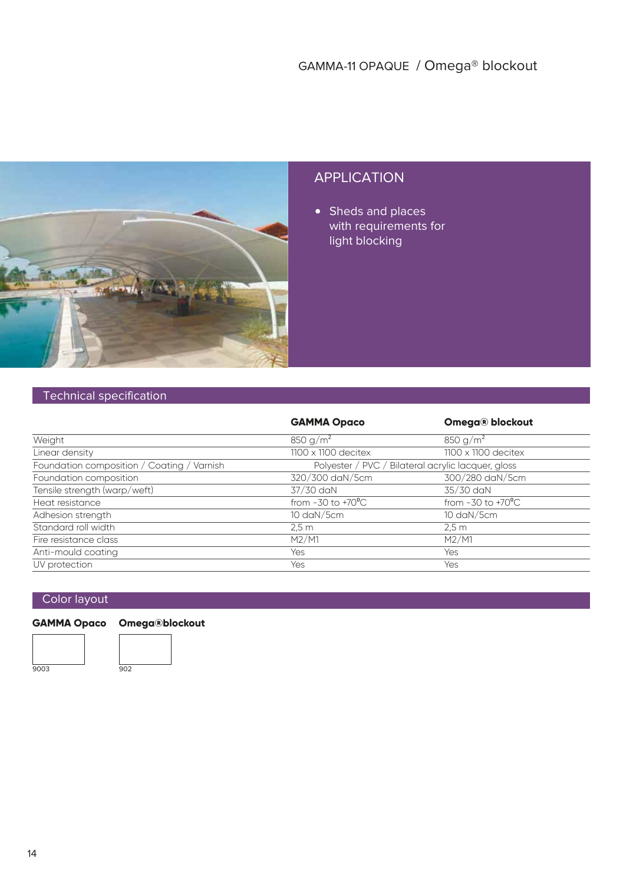

• Sheds and places with requirements for light blocking

#### Technical specification

|                                            | <b>GAMMA Opaco</b>                                 | <b>Omega® blockout</b>        |
|--------------------------------------------|----------------------------------------------------|-------------------------------|
| Weight                                     | 850 g/m <sup>2</sup>                               | 850 g/m <sup>2</sup>          |
| Linear density                             | $1100 \times 1100$ decitex                         | $1100 \times 1100$ decitex    |
| Foundation composition / Coating / Varnish | Polyester / PVC / Bilateral acrylic lacquer, gloss |                               |
| Foundation composition                     | 320/300 daN/5cm                                    | 300/280 daN/5cm               |
| Tensile strength (warp/weft)               | 37/30 daN                                          | 35/30 daN                     |
| Heat resistance                            | from $-30$ to $+70^{\circ}$ C                      | from $-30$ to $+70^{\circ}$ C |
| Adhesion strength                          | 10 daN/5cm                                         | 10 daN/5cm                    |
| Standard roll width                        | 2.5m                                               | 2.5m                          |
| Fire resistance class                      | M2/M1                                              | M2/M1                         |
| Anti-mould coating                         | Yes                                                | Yes                           |
| UV protection                              | Yes                                                | Yes                           |

#### Color layout

#### **GAMMA Opaco Omega®blockout**



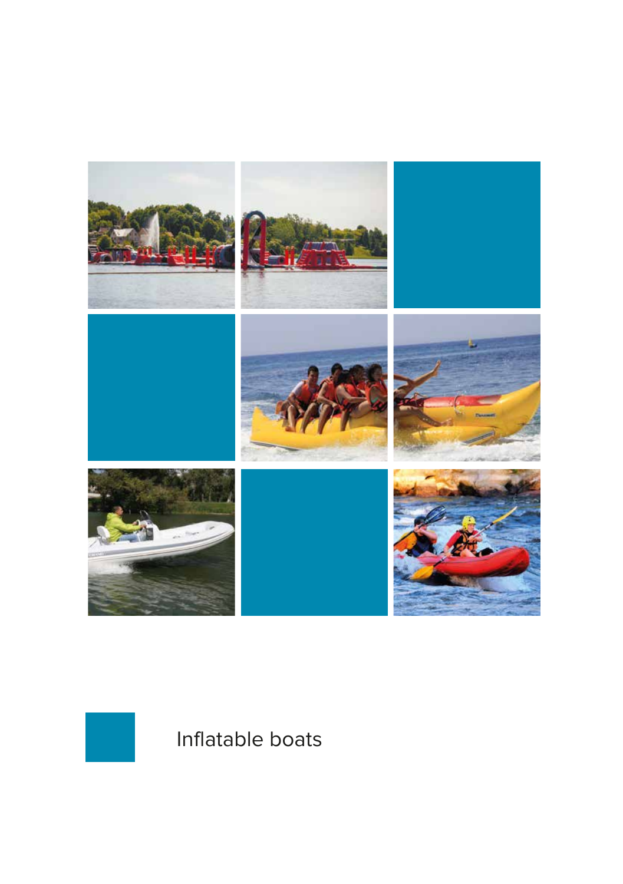



Inflatable boats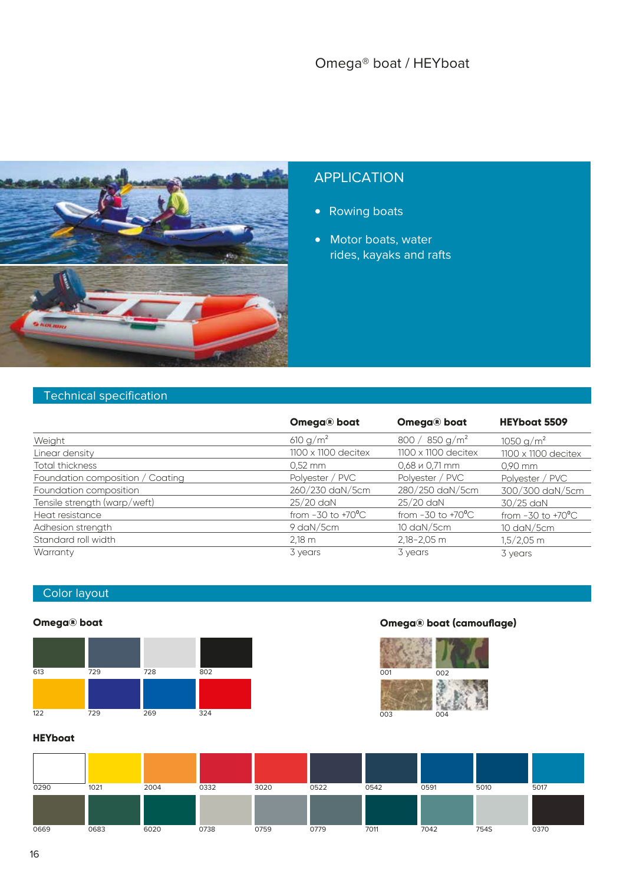

- Rowing boats
- Motor boats, water rides, kayaks and rafts

#### Technical specification

|                                  | Omega® boat                   | Omega® boat                   | <b>HEYboat 5509</b>           |
|----------------------------------|-------------------------------|-------------------------------|-------------------------------|
| Weight                           | 610 $q/m^2$                   | 800 / 850 g/m <sup>2</sup>    | 1050 g/m <sup>2</sup>         |
| Linear density                   | 1100 x 1100 decitex           | $1100 \times 1100$ decitex    | $1100 \times 1100$ decitex    |
| Total thickness                  | $0.52$ mm                     | $0.68 \times 0.71 \text{ mm}$ | $0.90$ mm                     |
| Foundation composition / Coating | Polyester / PVC               | Polyester / PVC               | Polyester / PVC               |
| Foundation composition           | 260/230 daN/5cm               | 280/250 daN/5cm               | 300/300 daN/5cm               |
| Tensile strength (warp/weft)     | 25/20 daN                     | 25/20 daN                     | 30/25 daN                     |
| Heat resistance                  | from $-30$ to $+70^{\circ}$ C | from $-30$ to $+70^{\circ}$ C | from $-30$ to $+70^{\circ}$ C |
| Adhesion strength                | 9 daN/5cm                     | 10 daN/5cm                    | 10 daN/5cm                    |
| Standard roll width              | $2,18 \, \text{m}$            | 2,18-2,05 m                   | $1,5/2,05$ m                  |
| Warranty                         | 3 years                       | 3 years                       | 3 years                       |

#### Color layout



#### **Omega® boat (camouflage)**



**HEYboat**

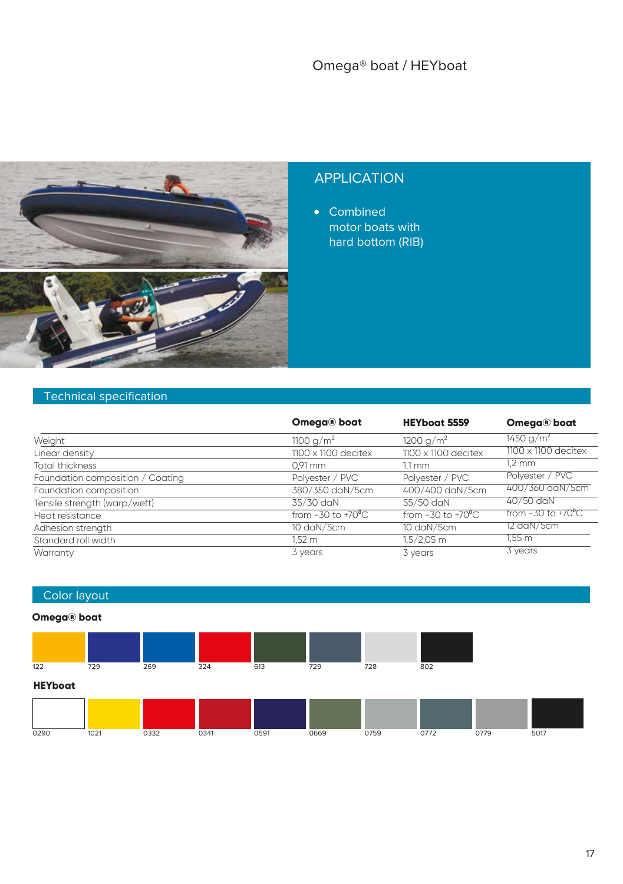

• Combined motor boats with hard bottom (RIB)

#### Technical specification

|                                  | Omega® boat                   | <b>HEYboat 5559</b>           | Omega® boat                  |
|----------------------------------|-------------------------------|-------------------------------|------------------------------|
| Weight                           | 1100 g/m <sup>2</sup>         | 1200 g/m <sup>2</sup>         | 1450 g/m <sup>2</sup>        |
| Linear density                   | $1100 \times 1100$ decitex    | $1100 \times 1100$ decitex    | $1100 \times 1100$ decitex   |
| Total thickness                  | $0.91$ mm                     | $1,1$ mm                      | $1.2 \text{ mm}$             |
| Foundation composition / Coating | Polyester / PVC               | Polyester / PVC               | Polyester / PVC              |
| Foundation composition           | 380/350 daN/5cm               | 400/400 daN/5cm               | 400/360 daN/5cm              |
| Tensile strength (warp/weft)     | 35/30 daN                     | 55/50 daN                     | 40/50 daN                    |
| Heat resistance                  | from $-30$ to $+70^{\circ}$ C | from $-30$ to $+70^{\circ}$ C | from -30 to +70 $^{\circ}$ C |
| Adhesion strength                | 10 daN/5cm                    | 10 daN/5cm                    | 12 daN/5cm                   |
| Standard roll width              | 1,52 m                        | $1,5/2,05$ m                  | 1.55 m                       |
| Warranty                         | 3 years                       | 3 years                       | 3 years                      |

#### Color layout

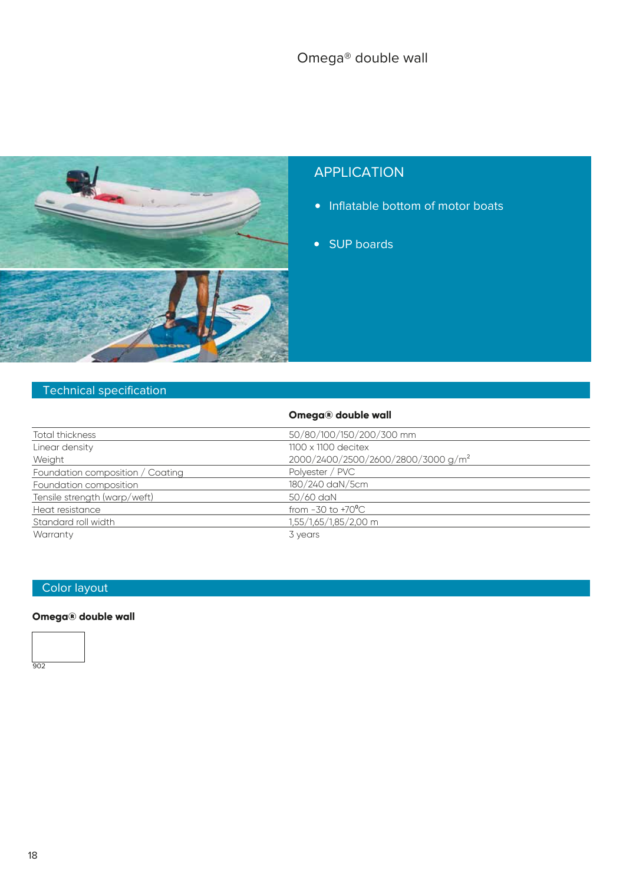

- Inflatable bottom of motor boats
- SUP boards

#### Technical specification

|                                  | Omega® double wall                             |
|----------------------------------|------------------------------------------------|
| Total thickness                  | 50/80/100/150/200/300 mm                       |
| Linear density                   | $1100 \times 1100$ decitex                     |
| Weight                           | 2000/2400/2500/2600/2800/3000 g/m <sup>2</sup> |
| Foundation composition / Coating | Polyester / PVC                                |
| Foundation composition           | 180/240 daN/5cm                                |
| Tensile strength (warp/weft)     | 50/60 daN                                      |
| Heat resistance                  | from $-30$ to $+70^{\circ}$ C                  |
| Standard roll width              | 1,55/1,65/1,85/2,00 m                          |
| Warranty                         | 3 years                                        |

#### Color layout

#### **Omega® double wall**

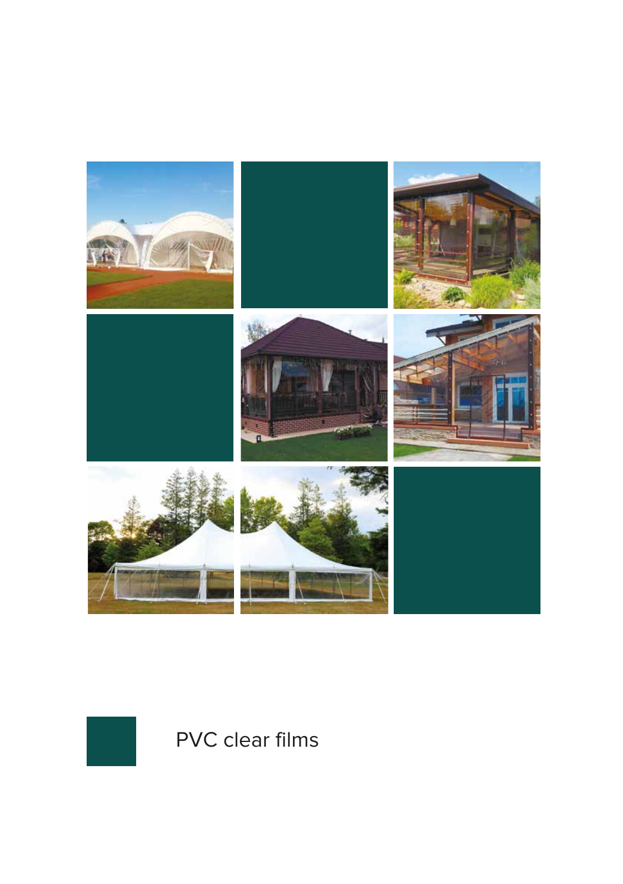



PVC clear films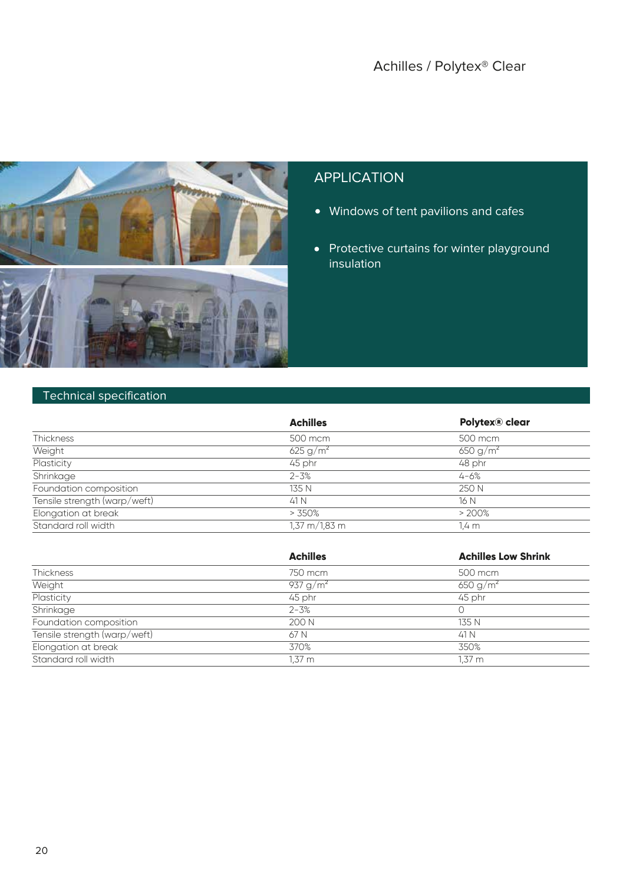

- Windows of tent pavilions and cafes
- Protective curtains for winter playground insulation

#### Technical specification

|                              | <b>Achilles</b>                 | Polytex® clear       |
|------------------------------|---------------------------------|----------------------|
| <b>Thickness</b>             | 500 mcm                         | 500 mcm              |
| Weight                       | 625 g/m <sup>2</sup>            | 650 g/m <sup>2</sup> |
| Plasticity                   | 45 phr                          | 48 phr               |
| Shrinkage                    | $2 - 3%$                        | $4 - 6%$             |
| Foundation composition       | 135 N                           | 250 N                |
| Tensile strength (warp/weft) | 41 N                            | 16 N                 |
| Elongation at break          | >350%                           | >200%                |
| Standard roll width          | $1,37 \text{ m}/1,83 \text{ m}$ | 1.4 m                |

|                              | <b>Achilles</b>      | <b>Achilles Low Shrink</b> |
|------------------------------|----------------------|----------------------------|
| <b>Thickness</b>             | 750 mcm              | 500 mcm                    |
| Weight                       | 937 g/m <sup>2</sup> | 650 g/m <sup>2</sup>       |
| Plasticity                   | 45 phr               | 45 phr                     |
| Shrinkage                    | $2 - 3%$             | Ω                          |
| Foundation composition       | 200 N                | 135 N                      |
| Tensile strength (warp/weft) | 67 N                 | 41 N                       |
| Elongation at break          | 370%                 | 350%                       |
| Standard roll width          | 1,37 m               | $1,37 \; m$                |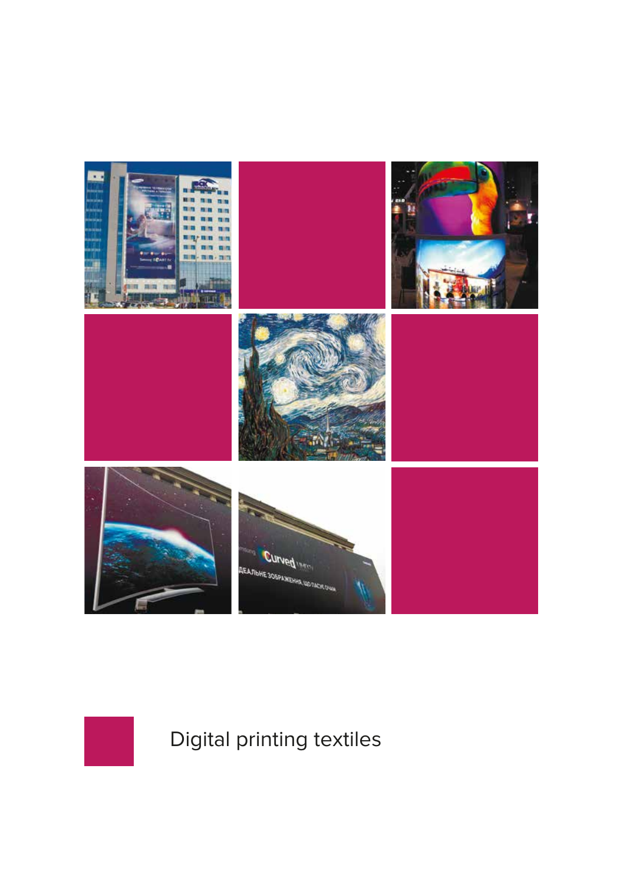



Digital printing textiles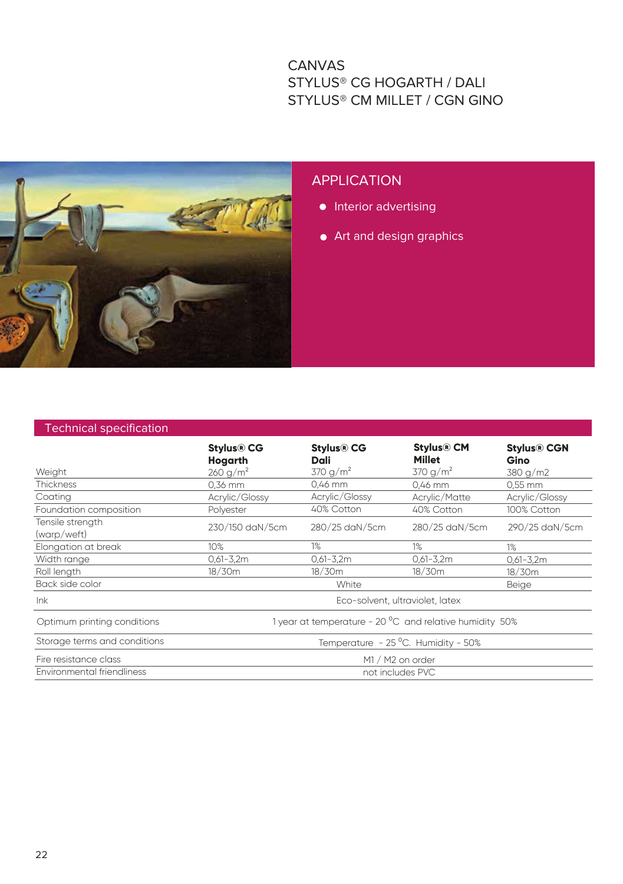#### CANVAS STYLUS® CG HOGARTH / DALI STYLUS® CM MILLET / CGN GINO



#### **APPLICATION**

- **•** Interior advertising
- **•** Art and design graphics

|  | <b>Technical specification</b> |  |
|--|--------------------------------|--|
|  |                                |  |

| Weight                          | <b>Stylus® CG</b><br>Hogarth<br>260 g/m <sup>2</sup>    | <b>Stylus® CG</b><br>Dali<br>370 g/m <sup>2</sup> | <b>Stylus® CM</b><br><b>Millet</b><br>370 g/m <sup>2</sup> | <b>Stylus® CGN</b><br>Gino<br>380 g/m2 |  |
|---------------------------------|---------------------------------------------------------|---------------------------------------------------|------------------------------------------------------------|----------------------------------------|--|
| <b>Thickness</b>                | 0,36 mm                                                 | 0,46 mm                                           | 0,46 mm                                                    | 0,55 mm                                |  |
| Coating                         | Acrylic/Glossy                                          | Acrylic/Glossy                                    | Acrylic/Matte                                              | Acrylic/Glossy                         |  |
| Foundation composition          | Polvester                                               | 40% Cotton                                        | 40% Cotton                                                 | 100% Cotton                            |  |
| Tensile strength<br>(warp/weft) | 230/150 daN/5cm                                         | 280/25 daN/5cm                                    | 280/25 daN/5cm                                             | 290/25 daN/5cm                         |  |
| Elongation at break             | 10%                                                     | 1%                                                | $1\%$                                                      | 1%                                     |  |
| Width range                     | $0,61 - 3,2m$                                           | $0,61 - 3,2m$                                     | $0,61 - 3,2m$                                              | $0,61 - 3,2m$                          |  |
| Roll length                     | 18/30m                                                  | 18/30m                                            | 18/30m                                                     | 18/30m                                 |  |
| Back side color                 |                                                         | White                                             |                                                            | <b>Beige</b>                           |  |
| lnk                             | Eco-solvent, ultraviolet, latex                         |                                                   |                                                            |                                        |  |
| Optimum printing conditions     | 1 year at temperature - 20 °C and relative humidity 50% |                                                   |                                                            |                                        |  |
| Storage terms and conditions    | Temperature - 25 °C. Humidity - 50%                     |                                                   |                                                            |                                        |  |
| Fire resistance class           | M1 / M2 on order                                        |                                                   |                                                            |                                        |  |
| Environmental friendliness      | not includes PVC                                        |                                                   |                                                            |                                        |  |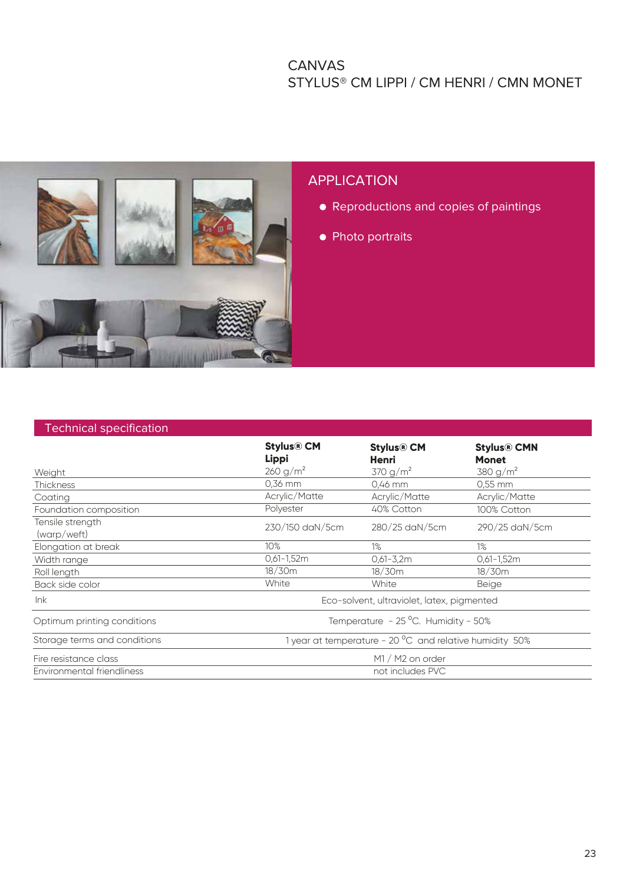#### CANVAS STYLUS® CM LIPPI / CM HENRI / CMN MONET



#### Technical specification

|                                 | <b>Stylus® CM</b><br>Lippi                              | <b>Stylus® CM</b><br>Henri | <b>Stylus® CMN</b><br><b>Monet</b> |  |
|---------------------------------|---------------------------------------------------------|----------------------------|------------------------------------|--|
| Weight                          | 260 g/m <sup>2</sup>                                    | 370 g/m <sup>2</sup>       | 380 g/m <sup>2</sup>               |  |
| <b>Thickness</b>                | 0,36 mm                                                 | 0,46 mm                    | $0.55$ mm                          |  |
| Coating                         | Acrylic/Matte                                           | Acrylic/Matte              | Acrylic/Matte                      |  |
| Foundation composition          | Polyester                                               | 40% Cotton                 | 100% Cotton                        |  |
| Tensile strength<br>(warp/weft) | 230/150 daN/5cm                                         | 280/25 daN/5cm             | 290/25 daN/5cm                     |  |
| Elongation at break             | 10%                                                     | 1%                         | $1\%$                              |  |
| Width range                     | $0,61 - 1,52m$                                          | $0,61 - 3,2m$              | $0,61-1,52m$                       |  |
| Roll length                     | 18/30m                                                  | 18/30m                     | 18/30m                             |  |
| Back side color                 | White                                                   | White                      | <b>Beige</b>                       |  |
| lnk                             | Eco-solvent, ultraviolet, latex, pigmented              |                            |                                    |  |
| Optimum printing conditions     | Temperature - 25 °C. Humidity - 50%                     |                            |                                    |  |
| Storage terms and conditions    | 1 year at temperature - 20 °C and relative humidity 50% |                            |                                    |  |
| Fire resistance class           | M1 / M2 on order                                        |                            |                                    |  |
| Environmental friendliness      | not includes PVC                                        |                            |                                    |  |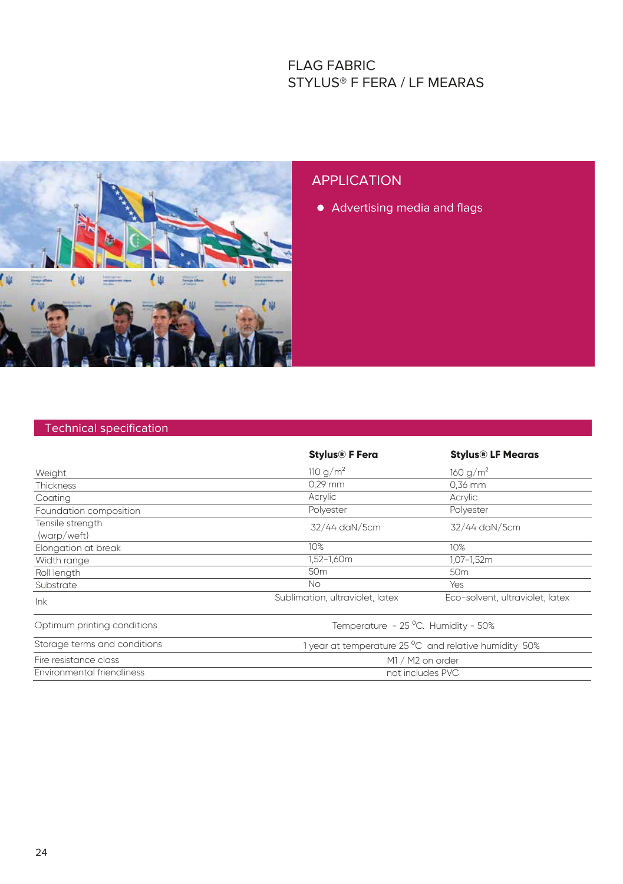#### FLAG FABRIC STYLUS® F FERA / LF MEARAS



#### APPLICATION

Advertising media and flags

#### Technical specification

|                                 | <b>Stylus® F Fera</b>                                 | <b>Stylus® LF Mearas</b>        |  |  |
|---------------------------------|-------------------------------------------------------|---------------------------------|--|--|
| Weight                          | 110 $g/m^2$                                           | 160 g/m <sup>2</sup>            |  |  |
| <b>Thickness</b>                | $0.29$ mm                                             | 0,36 mm                         |  |  |
| Coating                         | Acrylic                                               | Acrylic                         |  |  |
| Foundation composition          | Polyester                                             | Polyester                       |  |  |
| Tensile strength<br>(warp/weft) | 32/44 daN/5cm                                         | 32/44 daN/5cm                   |  |  |
| Elongation at break             | 10%                                                   | 10%                             |  |  |
| Width range                     | 1,52-1,60m                                            | 1,07-1,52m                      |  |  |
| Roll length                     | 50 <sub>m</sub>                                       | 50 <sub>m</sub>                 |  |  |
| Substrate                       | <b>No</b>                                             | Yes                             |  |  |
| lnk                             | Sublimation, ultraviolet, latex                       | Eco-solvent, ultraviolet, latex |  |  |
| Optimum printing conditions     | Temperature - 25 °C. Humidity - 50%                   |                                 |  |  |
| Storage terms and conditions    | 1 year at temperature 25 °C and relative humidity 50% |                                 |  |  |
| Fire resistance class           | M1 / M2 on order                                      |                                 |  |  |
| Environmental friendliness      | not includes PVC                                      |                                 |  |  |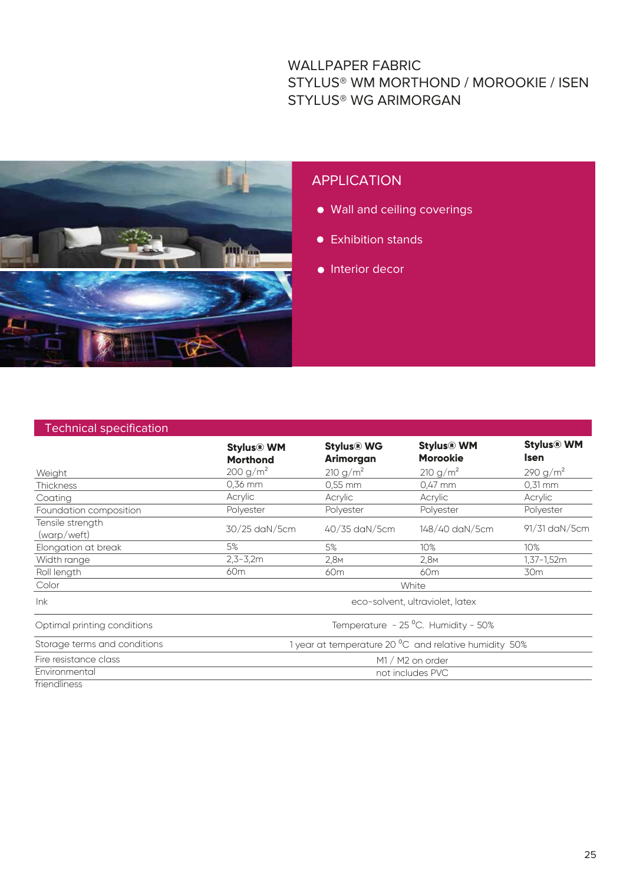#### WALLPAPER FABRIC STYLUS® WM MORTHOND / MOROOKIE / ISEN STYLUS® WG ARIMORGAN



#### APPLICATION

- Wall and ceiling coverings
- **•** Exhibition stands
- **•** Interior decor

| <b>Technical specification</b>  |                                                       |                                |                                      |                                  |  |
|---------------------------------|-------------------------------------------------------|--------------------------------|--------------------------------------|----------------------------------|--|
|                                 | <b>Stylus® WM</b><br><b>Morthond</b>                  | <b>Stylus® WG</b><br>Arimorgan | <b>Stylus® WM</b><br><b>Morookie</b> | <b>Stylus® WM</b><br><b>Isen</b> |  |
| Weight                          | $200 g/m^2$                                           | $210 g/m^2$                    | $210 g/m^2$                          | $290 g/m^2$                      |  |
| <b>Thickness</b>                | 0.36 mm                                               | $0.55$ mm                      | $0.47$ mm                            | $0.31$ mm                        |  |
| Coating                         | Acrylic                                               | Acrylic                        | Acrylic                              | Acrylic                          |  |
| Foundation composition          | Polyester                                             | Polyester                      | Polyester                            | Polyester                        |  |
| Tensile strength<br>(warp/weft) | 30/25 daN/5cm                                         | 40/35 daN/5cm                  | 148/40 daN/5cm                       | 91/31 daN/5cm                    |  |
| Elongation at break             | 5%                                                    | 5%                             | 10%                                  | 10%                              |  |
| Width range                     | $2,3 - 3,2m$                                          | 2,8M                           | 2,8M                                 | 1,37-1,52m                       |  |
| Roll length                     | 60 <sub>m</sub>                                       | 60 <sub>m</sub>                | 60 <sub>m</sub>                      | 30 <sub>m</sub>                  |  |
| Color                           | White                                                 |                                |                                      |                                  |  |
| lnk                             | eco-solvent, ultraviolet, latex                       |                                |                                      |                                  |  |
| Optimal printing conditions     | Temperature - 25 °C. Humidity - 50%                   |                                |                                      |                                  |  |
| Storage terms and conditions    | 1 year at temperature 20 °C and relative humidity 50% |                                |                                      |                                  |  |
| Fire resistance class           | M1 / M2 on order                                      |                                |                                      |                                  |  |
| Environmental                   | not includes PVC                                      |                                |                                      |                                  |  |
| friendliness                    |                                                       |                                |                                      |                                  |  |